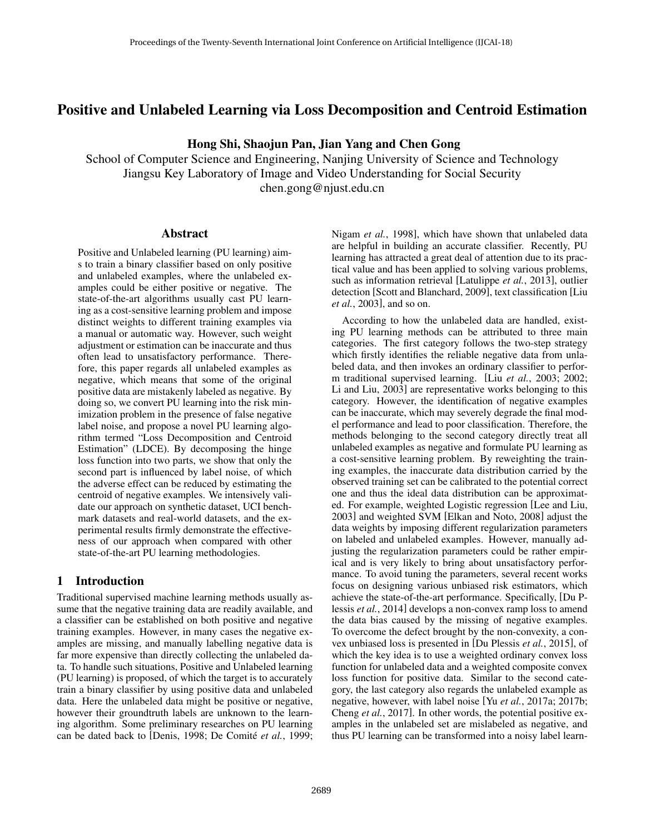# Positive and Unlabeled Learning via Loss Decomposition and Centroid Estimation

Hong Shi, Shaojun Pan, Jian Yang and Chen Gong

School of Computer Science and Engineering, Nanjing University of Science and Technology Jiangsu Key Laboratory of Image and Video Understanding for Social Security chen.gong@njust.edu.cn

#### Abstract

Positive and Unlabeled learning (PU learning) aims to train a binary classifier based on only positive and unlabeled examples, where the unlabeled examples could be either positive or negative. The state-of-the-art algorithms usually cast PU learning as a cost-sensitive learning problem and impose distinct weights to different training examples via a manual or automatic way. However, such weight adjustment or estimation can be inaccurate and thus often lead to unsatisfactory performance. Therefore, this paper regards all unlabeled examples as negative, which means that some of the original positive data are mistakenly labeled as negative. By doing so, we convert PU learning into the risk minimization problem in the presence of false negative label noise, and propose a novel PU learning algorithm termed "Loss Decomposition and Centroid Estimation" (LDCE). By decomposing the hinge loss function into two parts, we show that only the second part is influenced by label noise, of which the adverse effect can be reduced by estimating the centroid of negative examples. We intensively validate our approach on synthetic dataset, UCI benchmark datasets and real-world datasets, and the experimental results firmly demonstrate the effectiveness of our approach when compared with other state-of-the-art PU learning methodologies.

#### 1 Introduction

Traditional supervised machine learning methods usually assume that the negative training data are readily available, and a classifier can be established on both positive and negative training examples. However, in many cases the negative examples are missing, and manually labelling negative data is far more expensive than directly collecting the unlabeled data. To handle such situations, Positive and Unlabeled learning (PU learning) is proposed, of which the target is to accurately train a binary classifier by using positive data and unlabeled data. Here the unlabeled data might be positive or negative, however their groundtruth labels are unknown to the learning algorithm. Some preliminary researches on PU learning can be dated back to [Denis, 1998; De Comité et al., 1999; Nigam *et al.*, 1998], which have shown that unlabeled data are helpful in building an accurate classifier. Recently, PU learning has attracted a great deal of attention due to its practical value and has been applied to solving various problems, such as information retrieval [Latulippe *et al.*, 2013], outlier detection [Scott and Blanchard, 2009], text classification [Liu *et al.*, 2003], and so on.

According to how the unlabeled data are handled, existing PU learning methods can be attributed to three main categories. The first category follows the two-step strategy which firstly identifies the reliable negative data from unlabeled data, and then invokes an ordinary classifier to perform traditional supervised learning. [Liu *et al.*, 2003; 2002; Li and Liu, 2003] are representative works belonging to this category. However, the identification of negative examples can be inaccurate, which may severely degrade the final model performance and lead to poor classification. Therefore, the methods belonging to the second category directly treat all unlabeled examples as negative and formulate PU learning as a cost-sensitive learning problem. By reweighting the training examples, the inaccurate data distribution carried by the observed training set can be calibrated to the potential correct one and thus the ideal data distribution can be approximated. For example, weighted Logistic regression [Lee and Liu, 2003] and weighted SVM [Elkan and Noto, 2008] adjust the data weights by imposing different regularization parameters on labeled and unlabeled examples. However, manually adjusting the regularization parameters could be rather empirical and is very likely to bring about unsatisfactory performance. To avoid tuning the parameters, several recent works focus on designing various unbiased risk estimators, which achieve the state-of-the-art performance. Specifically, [Du Plessis *et al.*, 2014] develops a non-convex ramp loss to amend the data bias caused by the missing of negative examples. To overcome the defect brought by the non-convexity, a convex unbiased loss is presented in [Du Plessis *et al.*, 2015], of which the key idea is to use a weighted ordinary convex loss function for unlabeled data and a weighted composite convex loss function for positive data. Similar to the second category, the last category also regards the unlabeled example as negative, however, with label noise [Yu *et al.*, 2017a; 2017b; Cheng *et al.*, 2017]. In other words, the potential positive examples in the unlabeled set are mislabeled as negative, and thus PU learning can be transformed into a noisy label learn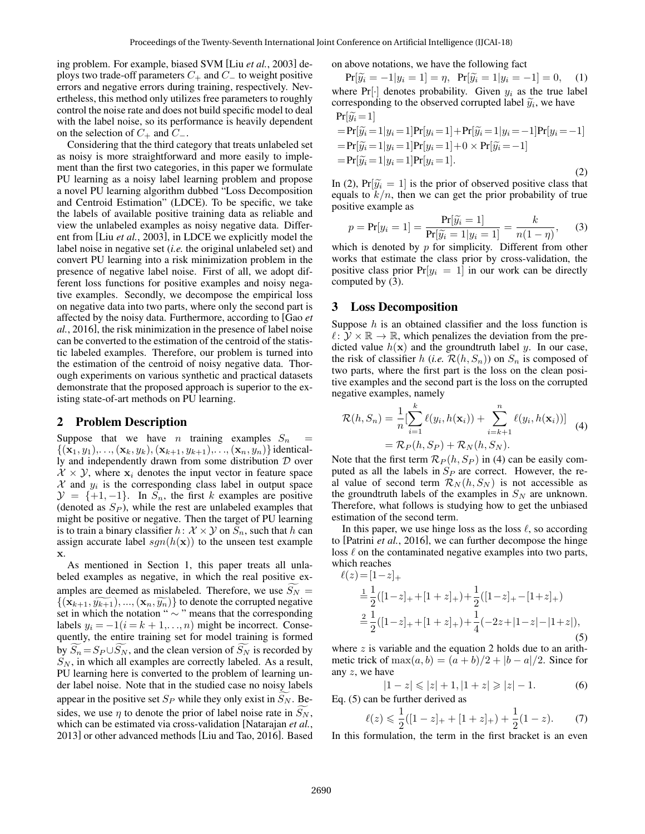ing problem. For example, biased SVM [Liu *et al.*, 2003] deploys two trade-off parameters  $C_+$  and  $C_-$  to weight positive errors and negative errors during training, respectively. Nevertheless, this method only utilizes free parameters to roughly control the noise rate and does not build specific model to deal with the label noise, so its performance is heavily dependent on the selection of  $C_+$  and  $C_-$ .

Considering that the third category that treats unlabeled set as noisy is more straightforward and more easily to implement than the first two categories, in this paper we formulate PU learning as a noisy label learning problem and propose a novel PU learning algorithm dubbed "Loss Decomposition and Centroid Estimation" (LDCE). To be specific, we take the labels of available positive training data as reliable and view the unlabeled examples as noisy negative data. Different from [Liu *et al.*, 2003], in LDCE we explicitly model the label noise in negative set (*i.e.* the original unlabeled set) and convert PU learning into a risk minimization problem in the presence of negative label noise. First of all, we adopt different loss functions for positive examples and noisy negative examples. Secondly, we decompose the empirical loss on negative data into two parts, where only the second part is affected by the noisy data. Furthermore, according to [Gao *et al.*, 2016], the risk minimization in the presence of label noise can be converted to the estimation of the centroid of the statistic labeled examples. Therefore, our problem is turned into the estimation of the centroid of noisy negative data. Thorough experiments on various synthetic and practical datasets demonstrate that the proposed approach is superior to the existing state-of-art methods on PU learning.

### 2 Problem Description

Suppose that we have *n* training examples  $S_n$  =  $\{({\bf x}_1, y_1),...,({\bf x}_k, y_k),({\bf x}_{k+1}, y_{k+1}),...,{\bf x}_n, y_n)\}\)$  identically and independently drawn from some distribution  $D$  over  $X \times Y$ , where  $x_i$  denotes the input vector in feature space  $X$  and  $y_i$  is the corresponding class label in output space  $\mathcal{Y} = \{+1, -1\}$ . In  $S_n$ , the first k examples are positive (denoted as  $S_P$ ), while the rest are unlabeled examples that might be positive or negative. Then the target of PU learning is to train a binary classifier  $h: \mathcal{X} \times \mathcal{Y}$  on  $S_n$ , such that h can assign accurate label  $sgn(h(\mathbf{x}))$  to the unseen test example x.

As mentioned in Section 1, this paper treats all unlabeled examples as negative, in which the real positive examples are deemed as mislabeled. Therefore, we use  $S_N =$  $\{(\mathbf{x}_{k+1}, \widetilde{y_{k+1}}), ..., (\mathbf{x}_n, \widetilde{y_n})\}\$  to denote the corrupted negative set in which the notation " ∼ " means that the corresponding labels  $y_i = -1(i = k + 1, \ldots, n)$  might be incorrect. Consequently, the entire training set for model training is formed by  $\widetilde{S}_n = S_P \cup \widetilde{S}_N$ , and the clean version of  $\widetilde{S}_N$  is recorded by  $S_N$ , in which all examples are correctly labeled. As a result, PU learning here is converted to the problem of learning under label noise. Note that in the studied case no noisy labels appear in the positive set  $S_P$  while they only exist in  $S_N$ . Besides, we use  $\eta$  to denote the prior of label noise rate in  $S_N$ , which can be estimated via cross-validation [Natarajan *et al.*, 2013] or other advanced methods [Liu and Tao, 2016]. Based on above notations, we have the following fact

 $Pr[\widetilde{y}_i = -1 | y_i = 1] = \eta, \Pr[\widetilde{y}_i = 1 | y_i = -1] = 0,$  (1) where  $Pr[\cdot]$  denotes probability. Given  $y_i$  as the true label corresponding to the observed corrupted label  $\widetilde{y}_i$ , we have  $Pr[\widetilde{w}_i = 1]$ 

$$
\begin{aligned}\n&= \Pr[\widetilde{y}_i = 1 | y_i = 1] \Pr[y_i = 1] + \Pr[\widetilde{y}_i = 1 | y_i = -1] \Pr[y_i = -1] \\
&= \Pr[\widetilde{y}_i = 1 | y_i = 1] \Pr[y_i = 1] + 0 \times \Pr[\widetilde{y}_i = -1] \\
&= \Pr[\widetilde{y}_i = 1 | y_i = 1] \Pr[y_i = 1].\n\end{aligned} \tag{2}
$$

In (2),  $Pr[\widetilde{y}_i = 1]$  is the prior of observed positive class that equals to  $k/n$ , then we can get the prior probability of true positive example as

$$
p = \Pr[y_i = 1] = \frac{\Pr[\widetilde{y}_i = 1]}{\Pr[\widetilde{y}_i = 1 | y_i = 1]} = \frac{k}{n(1 - \eta)},
$$
\n(3)

\nwhich is denoted by  $p$  for simplicity. Different from other

works that estimate the class prior by cross-validation, the positive class prior  $Pr[y_i = 1]$  in our work can be directly computed by (3).

#### 3 Loss Decomposition

Suppose  $h$  is an obtained classifier and the loss function is  $\ell : \mathcal{Y} \times \mathbb{R} \to \mathbb{R}$ , which penalizes the deviation from the predicted value  $h(\mathbf{x})$  and the groundtruth label y. In our case, the risk of classifier h (*i.e.*  $\mathcal{R}(h, S_n)$ ) on  $S_n$  is composed of two parts, where the first part is the loss on the clean positive examples and the second part is the loss on the corrupted negative examples, namely

$$
\mathcal{R}(h, S_n) = \frac{1}{n} \left[ \sum_{i=1}^k \ell(y_i, h(\mathbf{x}_i)) + \sum_{i=k+1}^n \ell(y_i, h(\mathbf{x}_i)) \right]
$$
  
=  $\mathcal{R}_P(h, S_P) + \mathcal{R}_N(h, S_N).$  (4)

Note that the first term  $\mathcal{R}_P(h, S_P)$  in (4) can be easily computed as all the labels in  $S_P$  are correct. However, the real value of second term  $\mathcal{R}_N(h, S_N)$  is not accessible as the groundtruth labels of the examples in  $S_N$  are unknown. Therefore, what follows is studying how to get the unbiased estimation of the second term.

In this paper, we use hinge loss as the loss  $\ell$ , so according to [Patrini *et al.*, 2016], we can further decompose the hinge loss  $\ell$  on the contaminated negative examples into two parts, which reaches

$$
\ell(z) = [1-z]_{+}
$$
  
\n
$$
\frac{1}{2} \left( [1-z]_{+} + [1+z]_{+} \right) + \frac{1}{2} \left( [1-z]_{+} - [1+z]_{+} \right)
$$
  
\n
$$
\frac{2}{2} \frac{1}{2} \left( [1-z]_{+} + [1+z]_{+} \right) + \frac{1}{4} \left( -2z + |1-z| - |1+z| \right),
$$
  
\n(5)

where  $z$  is variable and the equation 2 holds due to an arithmetic trick of  $\max(a, b) = (a + b)/2 + |b - a|/2$ . Since for any z, we have

$$
|1 - z| \leq |z| + 1, |1 + z| \geq |z| - 1.
$$
 (6)

Eq. (5) can be further derived as

$$
\ell(z) \leq \frac{1}{2}([1-z]_+ + [1+z]_+) + \frac{1}{2}(1-z). \tag{7}
$$

In this formulation, the term in the first bracket is an even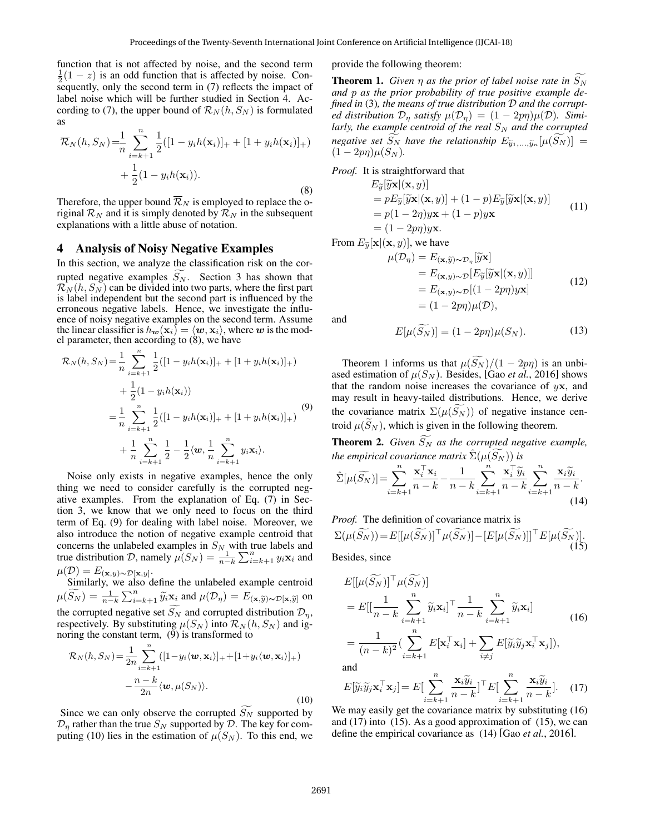function that is not affected by noise, and the second term  $\frac{1}{2}(1-z)$  is an odd function that is affected by noise. Consequently, only the second term in (7) reflects the impact of label noise which will be further studied in Section 4. According to (7), the upper bound of  $\mathcal{R}_N(h, S_N)$  is formulated as

$$
\overline{\mathcal{R}}_N(h, S_N) = \frac{1}{n} \sum_{i=k+1}^n \frac{1}{2} ([1 - y_i h(\mathbf{x}_i)]_+ + [1 + y_i h(\mathbf{x}_i)]_+)
$$
  
+ 
$$
\frac{1}{2} (1 - y_i h(\mathbf{x}_i)).
$$
 (8)

Therefore, the upper bound  $\overline{\mathcal{R}}_N$  is employed to replace the original  $\mathcal{R}_N$  and it is simply denoted by  $\mathcal{R}_N$  in the subsequent explanations with a little abuse of notation.

### 4 Analysis of Noisy Negative Examples

In this section, we analyze the classification risk on the corrupted negative examples  $S_N$ . Section 3 has shown that  $\mathcal{R}_N(h, S_N)$  can be divided into two parts, where the first part is label independent but the second part is influenced by the erroneous negative labels. Hence, we investigate the influence of noisy negative examples on the second term. Assume the linear classifier is  $h_{w}(\mathbf{x}_i) = \langle w, \mathbf{x}_i \rangle$ , where w is the model parameter, then according to (8), we have

$$
\mathcal{R}_{N}(h, S_{N}) = \frac{1}{n} \sum_{i=k+1}^{n} \frac{1}{2} ([1 - y_{i}h(\mathbf{x}_{i})]_{+} + [1 + y_{i}h(\mathbf{x}_{i})]_{+})
$$
  
+ 
$$
\frac{1}{2} (1 - y_{i}h(\mathbf{x}_{i}))
$$
  
= 
$$
\frac{1}{n} \sum_{i=k+1}^{n} \frac{1}{2} ([1 - y_{i}h(\mathbf{x}_{i})]_{+} + [1 + y_{i}h(\mathbf{x}_{i})]_{+})
$$
  
+ 
$$
\frac{1}{n} \sum_{i=k+1}^{n} \frac{1}{2} - \frac{1}{2} \langle \mathbf{w}, \frac{1}{n} \sum_{i=k+1}^{n} y_{i} \mathbf{x}_{i} \rangle.
$$
 (9)

Noise only exists in negative examples, hence the only thing we need to consider carefully is the corrupted negative examples. From the explanation of Eq. (7) in Section 3, we know that we only need to focus on the third term of Eq. (9) for dealing with label noise. Moreover, we also introduce the notion of negative example centroid that concerns the unlabeled examples in  $S_N$  with true labels and true distribution D, namely  $\mu(S_N) = \frac{1}{n-k} \sum_{i=k+1}^n y_i \mathbf{x}_i$  and  $\mu(\mathcal{D})=E_{(\mathbf{x},y)\sim\mathcal{D}[\mathbf{x},y]}.$ 

Similarly, we also define the unlabeled example centroid  $\mu(\widetilde{S_N}) = \frac{1}{n-k} \sum_{i=k+1}^n \widetilde{y}_i \widetilde{\mathbf{x}}_i$  and  $\mu(\mathcal{D}_\eta) = E(\mathbf{x}, \widetilde{y}) \sim \mathcal{D}[\mathbf{x}, \widetilde{y}]$  on the corrupted negative set  $S_N$  and corrupted distribution  $\mathcal{D}_\eta$ , respectively. By substituting  $\mu(S_N)$  into  $\mathcal{R}_N(h, S_N)$  and ignoring the constant term, (9) is transformed to

$$
\mathcal{R}_N(h, S_N) = \frac{1}{2n} \sum_{i=k+1}^n ([1 - y_i \langle \boldsymbol{w}, \mathbf{x}_i \rangle]_+ + [1 + y_i \langle \boldsymbol{w}, \mathbf{x}_i \rangle]_+)
$$

$$
- \frac{n - k}{2n} \langle \boldsymbol{w}, \mu(S_N) \rangle.
$$
(10)

Since we can only observe the corrupted  $S_N$  supported by  $\mathcal{D}_n$  rather than the true  $S_N$  supported by  $\mathcal{D}$ . The key for computing (10) lies in the estimation of  $\mu(S_N)$ . To this end, we provide the following theorem:

**Theorem 1.** *Given*  $\eta$  *as the prior of label noise rate in*  $S_N$ *and* p *as the prior probability of true positive example defined in* (3)*, the means of true distribution* D *and the corrupted distribution*  $\mathcal{D}_{\eta}$  *satisfy*  $\mu(\mathcal{D}_{\eta}) = (1 - 2p\eta)\mu(\mathcal{D})$ *. Similarly, the example centroid of the real*  $S_N$  *and the corrupted negative set*  $S_N$  *have the relationship*  $E_{\widetilde{y}_1,...,\widetilde{y}_n}[\mu(S_N)] =$ <br>(1  $2m(\mu(S_N))$  $(1 - 2p\eta)\mu(S_N)$ .

*Proof.* It is straightforward that

$$
E_{\widetilde{y}}[\widetilde{y}\mathbf{x} | (\mathbf{x}, y)]
$$
  
=  $pE_{\widetilde{y}}[\widetilde{y}\mathbf{x} | (\mathbf{x}, y)] + (1 - p)E_{\widetilde{y}}[\widetilde{y}\mathbf{x} | (\mathbf{x}, y)]$   
=  $p(1 - 2\eta)y\mathbf{x} + (1 - p)y\mathbf{x}$   
=  $(1 - 2p\eta)y\mathbf{x}$ . (11)

From  $E_{\widetilde{y}}[\mathbf{x}](\mathbf{x}, y)$ , we have<br> $\mu(\mathcal{D}_n) = E_{(\mathbf{x}, y)}$ 

$$
\mu(\mathcal{D}_{\eta}) = E_{(\mathbf{x}, \widetilde{y}) \sim \mathcal{D}_{\eta}}[\widetilde{y}\mathbf{x}] \n= E_{(\mathbf{x}, y) \sim \mathcal{D}}[E_{\widetilde{y}}[\widetilde{y}\mathbf{x} | (\mathbf{x}, y)]] \n= E_{(\mathbf{x}, y) \sim \mathcal{D}}[(1 - 2pn)y\mathbf{x}] \n= (1 - 2pn)\mu(\mathcal{D}),
$$
\n(12)

and

$$
E[\mu(\widetilde{S_N})] = (1 - 2p\eta)\mu(S_N). \tag{13}
$$

Theorem 1 informs us that  $\mu(S_N)/(1 - 2p\eta)$  is an unbi-<br>ased estimation of  $\mu(S_N)$ . Besides, [Gao *et al.*, 2016] shows that the random noise increases the covariance of  $yx$ , and may result in heavy-tailed distributions. Hence, we derive the covariance matrix  $\Sigma(\mu(S_N))$  of negative instance centroid  $\mu(S_N)$ , which is given in the following theorem.

**Theorem 2.** *Given*  $S_N$  *as the corrupted negative example, the empirical covariance matrix*  $\hat{\Sigma}(\mu(S_N))$  *is* 

$$
\hat{\Sigma}[\mu(\widetilde{S_N})] = \sum_{i=k+1}^{n} \frac{\mathbf{x}_i^{\top} \mathbf{x}_i}{n-k} - \frac{1}{n-k} \sum_{i=k+1}^{n} \frac{\mathbf{x}_i^{\top} \widetilde{y}_i}{n-k} \sum_{i=k+1}^{n} \frac{\mathbf{x}_i \widetilde{y}_i}{n-k}.
$$
\n(14)

(15)

*Proof.* The definition of covariance matrix is  $\Sigma(\mu(\widetilde{S_N}))=E[ [\mu(\widetilde{S_N})]^\top \mu(\widetilde{S_N})]-[E[\mu(\widetilde{S_N})]]^\top E[\mu(\widetilde{S_N})].$ 

Besides, since

$$
E[[\mu(\widetilde{S_N})]^\top \mu(\widetilde{S_N})]
$$
  
= 
$$
E[[\frac{1}{n-k} \sum_{i=k+1}^n \widetilde{y}_i \mathbf{x}_i]^\top \frac{1}{n-k} \sum_{i=k+1}^n \widetilde{y}_i \mathbf{x}_i]
$$
  
= 
$$
\frac{1}{(n-k)^2} (\sum_{i=k+1}^n E[\mathbf{x}_i^\top \mathbf{x}_i] + \sum_{i \neq j} E[\widetilde{y}_i \widetilde{y}_j \mathbf{x}_i^\top \mathbf{x}_j]),
$$

and

$$
E[\widetilde{y}_i \widetilde{y}_j \mathbf{x}_i^\top \mathbf{x}_j] = E\left[\sum_{i=k+1}^n \frac{\mathbf{x}_i \widetilde{y}_i}{n-k}\right]^\top E\left[\sum_{i=k+1}^n \frac{\mathbf{x}_i \widetilde{y}_i}{n-k}\right].
$$
 (17)

We may easily get the covariance matrix by substituting  $(16)$ and  $(17)$  into  $(15)$ . As a good approximation of  $(15)$ , we can define the empirical covariance as (14) [Gao *et al.*, 2016].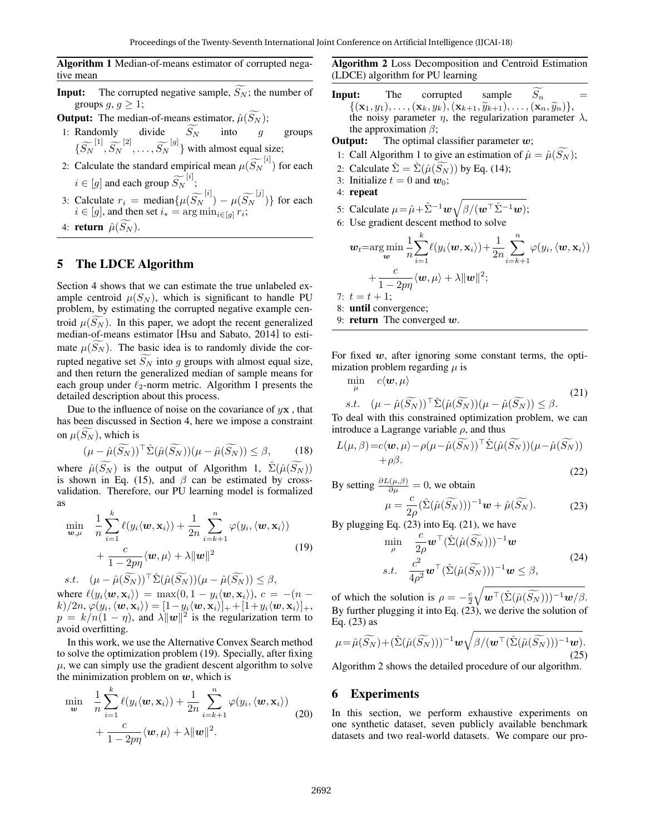Algorithm 1 Median-of-means estimator of corrupted negative mean

- **Input:** The corrupted negative sample,  $\widetilde{S_N}$ ; the number of groups  $g, g \geq 1$ ;
- **Output:** The median-of-means estimator,  $\hat{\mu}(S_N)$ ;
- 1: Randomly divide  $S_N$  into g groups  $\left\{ \widetilde{S_N}^{[1]}, \widetilde{S_N}^{[2]}, \ldots, \widetilde{S_N}^{[g]} \right\}$  with almost equal size;
- 2: Calculate the standard empirical mean  $\mu(\widetilde{S}_N^{[i]})$  for each  $i \in [g]$  and each group  $\widetilde{S_N}^{[i]}$ ;
- 3: Calculate  $r_i = \text{median}\{\mu(\widetilde{S_N}^{[i]}) \mu(\widetilde{S_N}^{[j]})\}\)$  for each  $i \in [g]$ , and then set  $i_* = \arg \min_{i \in [g]} r_i$ ;
- 4: return  $\hat{\mu}(S_N)$ .

## 5 The LDCE Algorithm

Section 4 shows that we can estimate the true unlabeled example centroid  $\mu(S_N)$ , which is significant to handle PU problem, by estimating the corrupted negative example centroid  $\mu(S_N)$ . In this paper, we adopt the recent generalized median-of-means estimator [Hsu and Sabato, 2014] to estimate  $\mu(S_N)$ . The basic idea is to randomly divide the corrupted negative set  $\widetilde{S_N}$  into g groups with almost equal size, and then return the generalized median of sample means for each group under  $\ell_2$ -norm metric. Algorithm 1 presents the detailed description about this process.

Due to the influence of noise on the covariance of  $y\mathbf{x}$ , that has been discussed in Section 4, here we impose a constraint on  $\mu(S_N)$ , which is

$$
(\mu - \hat{\mu}(\widetilde{S_N}))^{\top} \hat{\Sigma}(\hat{\mu}(\widetilde{S_N}))(\mu - \hat{\mu}(\widetilde{S_N})) \le \beta, \qquad (18)
$$

where  $\hat{\mu}(S_N)$  is the output of Algorithm 1,  $\hat{\Sigma}(\hat{\mu}(S_N))$ is shown in Eq. (15), and  $\beta$  can be estimated by crossvalidation. Therefore, our PU learning model is formalized as

$$
\min_{\mathbf{w},\mu} \quad \frac{1}{n} \sum_{i=1}^{k} \ell(y_i \langle \mathbf{w}, \mathbf{x}_i \rangle) + \frac{1}{2n} \sum_{i=k+1}^{n} \varphi(y_i, \langle \mathbf{w}, \mathbf{x}_i \rangle) \n+ \frac{c}{1 - 2p\eta} \langle \mathbf{w}, \mu \rangle + \lambda \|\mathbf{w}\|^2 \ns.t. \quad (\mu - \hat{\mu}(\widetilde{S_N}))^\top \hat{\Sigma}(\hat{\mu}(\widetilde{S_N})) (\mu - \hat{\mu}(\widetilde{S_N})) \leq \beta,
$$
\n(19)

where  $\ell(y_i\langle \boldsymbol{w}, \mathbf{x}_i \rangle) = \max(0, 1 - y_i\langle \boldsymbol{w}, \mathbf{x}_i \rangle), c = -(n$  $k)/2n, \varphi(y_i,\langle{\bf w},{\bf x}_i\rangle) = [1-y_i\langle{\bf w},{\bf x}_i\rangle]_+ + [1+y_i\langle{\bf w},{\bf x}_i\rangle]_+,$  $p = k/n(1 - \eta)$ , and  $\lambda ||w||^2$  is the regularization term to avoid overfitting.

In this work, we use the Alternative Convex Search method to solve the optimization problem (19). Specially, after fixing  $\mu$ , we can simply use the gradient descent algorithm to solve the minimization problem on  $w$ , which is

$$
\min_{\mathbf{w}} \quad \frac{1}{n} \sum_{i=1}^{k} \ell(y_i \langle \mathbf{w}, \mathbf{x}_i \rangle) + \frac{1}{2n} \sum_{i=k+1}^{n} \varphi(y_i, \langle \mathbf{w}, \mathbf{x}_i \rangle) + \frac{c}{1 - 2p\eta} \langle \mathbf{w}, \mu \rangle + \lambda ||\mathbf{w}||^2.
$$
\n(20)

Algorithm 2 Loss Decomposition and Centroid Estimation (LDCE) algorithm for PU learning

**Input:** The corrupted sample  $S_n =$  $\{(\mathbf{x}_1, y_1), \ldots, (\mathbf{x}_k, y_k), (\mathbf{x}_{k+1}, \tilde{y}_{k+1}), \ldots, (\mathbf{x}_n, \tilde{y}_n)\}\$ , the noisy parameter *n* the reqularization parameter the noisy parameter  $\eta$ , the regularization parameter  $\lambda$ , the approximation  $\beta$ ;

**Output:** The optimal classifier parameter  $w$ ;

- 1: Call Algorithm 1 to give an estimation of  $\hat{\mu} = \hat{\mu}(S_N)$ ;
- 2: Calculate  $\hat{\Sigma} = \hat{\Sigma}(\hat{\mu}(S_N))$  by Eq. (14);
- 3: Initialize  $t = 0$  and  $w_0$ ;
- 4: repeat

 $7:$ 

5: Calculate  $\mu = \hat{\mu} + \hat{\Sigma}^{-1} \mathbf{w} \sqrt{\beta/(\mathbf{w}^\top \hat{\Sigma}^{-1} \mathbf{w})};$ 

6: Use gradient descent method to solve

$$
\mathbf{w}_t = \arg\min_{\mathbf{w}} \frac{1}{n} \sum_{i=1}^k \ell(y_i \langle \mathbf{w}, \mathbf{x}_i \rangle) + \frac{1}{2n} \sum_{i=k+1}^n \varphi(y_i, \langle \mathbf{w}, \mathbf{x}_i \rangle)
$$

$$
+ \frac{c}{1 - 2p\eta} \langle \mathbf{w}, \mu \rangle + \lambda \|\mathbf{w}\|^2;
$$

$$
t = t + 1;
$$

8: until convergence;

9: **return** The converged  $w$ .

For fixed  $w$ , after ignoring some constant terms, the optimization problem regarding  $\mu$  is

$$
\min_{\mu} c \langle \boldsymbol{w}, \mu \rangle \ns.t. \quad (\mu - \hat{\mu}(\widetilde{S_N}))^{\top} \hat{\Sigma}(\hat{\mu}(\widetilde{S_N}))(\mu - \hat{\mu}(\widetilde{S_N})) \leq \beta.
$$
\n(21)

To deal with this constrained optimization problem, we can introduce a Lagrange variable  $\rho$ , and thus

$$
L(\mu, \beta) = c \langle \mathbf{w}, \mu \rangle - \rho(\mu - \hat{\mu}(\widetilde{S_N}))^{\top} \hat{\Sigma}(\hat{\mu}(\widetilde{S_N}))(\mu - \hat{\mu}(\widetilde{S_N})) + \rho \beta.
$$
\n(22)

By setting  $\frac{\partial L(\mu,\beta)}{\partial \mu} = 0$ , we obtain

$$
\mu = \frac{c}{2\rho} (\hat{\Sigma}(\hat{\mu}(\widetilde{S_N})))^{-1} \mathbf{w} + \hat{\mu}(\widetilde{S_N}). \tag{23}
$$

By plugging Eq. (23) into Eq. (21), we have

$$
\min_{\rho} \quad \frac{c}{2\rho} \mathbf{w}^{\top} (\hat{\Sigma}(\hat{\mu}(\widetilde{S_N})))^{-1} \mathbf{w}
$$
\ns.t. 
$$
\frac{c^2}{4\rho^2} \mathbf{w}^{\top} (\hat{\Sigma}(\hat{\mu}(\widetilde{S_N})))^{-1} \mathbf{w} \leq \beta,
$$
\n(24)

of which the solution is  $\rho = -\frac{c}{2}$  $\sqrt{\boldsymbol{w}^{\top}(\hat{\Sigma}(\hat{\mu}(\widetilde{S_N})))^{-1}\boldsymbol{w}/\beta}.$ By further plugging it into Eq. (23), we derive the solution of Eq. (23) as

$$
\mu = \hat{\mu}(\widetilde{S_N}) + (\hat{\Sigma}(\hat{\mu}(\widetilde{S_N})))^{-1} \mathbf{w} \sqrt{\beta / (\mathbf{w}^\top (\hat{\Sigma}(\hat{\mu}(\widetilde{S_N})))^{-1} \mathbf{w})}.
$$
\n(25)

Algorithm 2 shows the detailed procedure of our algorithm.

### 6 Experiments

In this section, we perform exhaustive experiments on one synthetic dataset, seven publicly available benchmark datasets and two real-world datasets. We compare our pro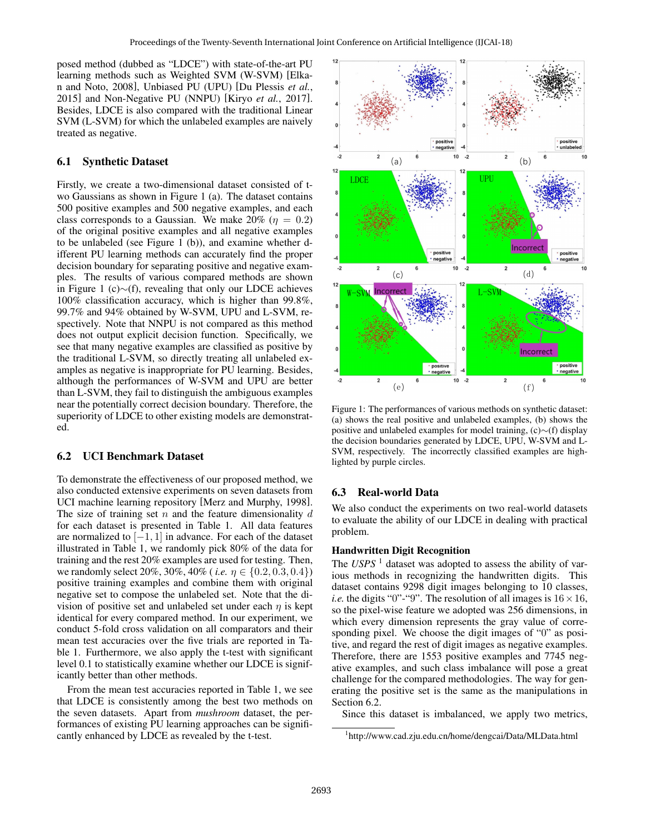posed method (dubbed as "LDCE") with state-of-the-art PU learning methods such as Weighted SVM (W-SVM) [Elkan and Noto, 2008], Unbiased PU (UPU) [Du Plessis *et al.*, 2015] and Non-Negative PU (NNPU) [Kiryo *et al.*, 2017]. Besides, LDCE is also compared with the traditional Linear SVM (L-SVM) for which the unlabeled examples are naively treated as negative.

### 6.1 Synthetic Dataset

Firstly, we create a two-dimensional dataset consisted of two Gaussians as shown in Figure 1 (a). The dataset contains 500 positive examples and 500 negative examples, and each class corresponds to a Gaussian. We make  $20\%$  ( $\eta = 0.2$ ) of the original positive examples and all negative examples to be unlabeled (see Figure 1 (b)), and examine whether different PU learning methods can accurately find the proper decision boundary for separating positive and negative examples. The results of various compared methods are shown in Figure 1 (c)∼(f), revealing that only our LDCE achieves 100% classification accuracy, which is higher than 99.8%, 99.7% and 94% obtained by W-SVM, UPU and L-SVM, respectively. Note that NNPU is not compared as this method does not output explicit decision function. Specifically, we see that many negative examples are classified as positive by the traditional L-SVM, so directly treating all unlabeled examples as negative is inappropriate for PU learning. Besides, although the performances of W-SVM and UPU are better than L-SVM, they fail to distinguish the ambiguous examples near the potentially correct decision boundary. Therefore, the superiority of LDCE to other existing models are demonstrated.

#### 6.2 UCI Benchmark Dataset

To demonstrate the effectiveness of our proposed method, we also conducted extensive experiments on seven datasets from UCI machine learning repository [Merz and Murphy, 1998]. The size of training set  $n$  and the feature dimensionality  $d$ for each dataset is presented in Table 1. All data features are normalized to  $[-1, 1]$  in advance. For each of the dataset illustrated in Table 1, we randomly pick 80% of the data for training and the rest 20% examples are used for testing. Then, we randomly select 20%, 30%, 40% (*i.e.*  $\eta \in \{0.2, 0.3, 0.4\}$ ) positive training examples and combine them with original negative set to compose the unlabeled set. Note that the division of positive set and unlabeled set under each  $\eta$  is kept identical for every compared method. In our experiment, we conduct 5-fold cross validation on all comparators and their mean test accuracies over the five trials are reported in Table 1. Furthermore, we also apply the t-test with significant level 0.1 to statistically examine whether our LDCE is significantly better than other methods.

From the mean test accuracies reported in Table 1, we see that LDCE is consistently among the best two methods on the seven datasets. Apart from *mushroom* dataset, the performances of existing PU learning approaches can be significantly enhanced by LDCE as revealed by the t-test.



Figure 1: The performances of various methods on synthetic dataset: (a) shows the real positive and unlabeled examples, (b) shows the positive and unlabeled examples for model training, (c)∼(f) display the decision boundaries generated by LDCE, UPU, W-SVM and L-SVM, respectively. The incorrectly classified examples are highlighted by purple circles.

#### 6.3 Real-world Data

We also conduct the experiments on two real-world datasets to evaluate the ability of our LDCE in dealing with practical problem.

#### Handwritten Digit Recognition

The *USPS*<sup>1</sup> dataset was adopted to assess the ability of various methods in recognizing the handwritten digits. This dataset contains 9298 digit images belonging to 10 classes, *i.e.* the digits "0"-"9". The resolution of all images is  $16 \times 16$ , so the pixel-wise feature we adopted was 256 dimensions, in which every dimension represents the gray value of corresponding pixel. We choose the digit images of "0" as positive, and regard the rest of digit images as negative examples. Therefore, there are 1553 positive examples and 7745 negative examples, and such class imbalance will pose a great challenge for the compared methodologies. The way for generating the positive set is the same as the manipulations in Section 6.2.

Since this dataset is imbalanced, we apply two metrics,

<sup>1</sup> http://www.cad.zju.edu.cn/home/dengcai/Data/MLData.html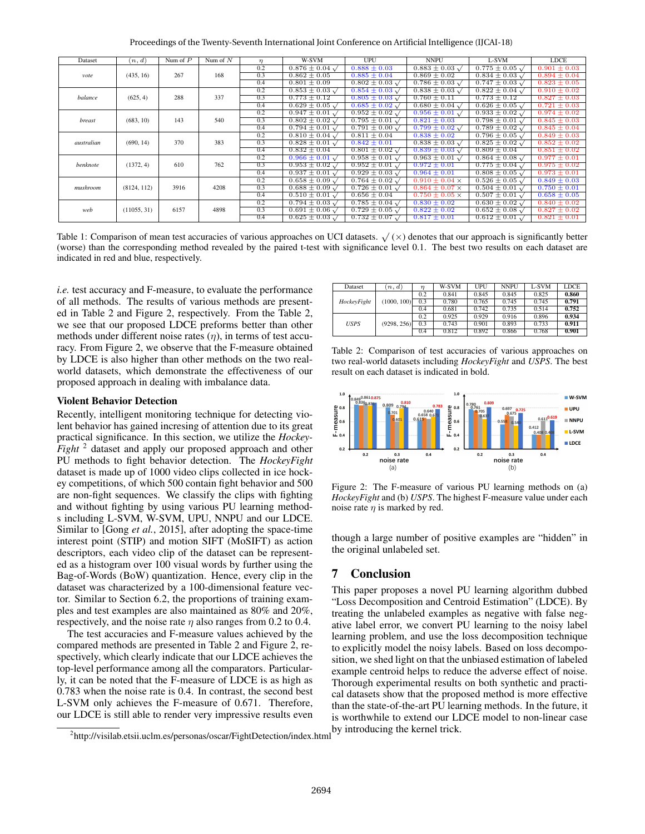Proceedings of the Twenty-Seventh International Joint Conference on Artificial Intelligence (IJCAI-18)

| Dataset    | (n,d)       | Num of $P$ | Num of $N$ | $\eta$ | W-SVM                       | <b>UPU</b>                  | <b>NNPU</b>                 | L-SVM                       | <b>LDCE</b>      |
|------------|-------------|------------|------------|--------|-----------------------------|-----------------------------|-----------------------------|-----------------------------|------------------|
| vote       | (435, 16)   | 267        | 168        | 0.2    | $0.876 \pm 0.04 \sqrt{ }$   | $0.888 \pm 0.03$            | $0.883 \pm 0.03 \sqrt{ }$   | $0.775 \pm 0.05 \sqrt{ }$   | $0.901 \pm 0.03$ |
|            |             |            |            | 0.3    | $0.862 \pm 0.05$            | $0.885 \pm 0.04$            | $0.869 \pm 0.02$            | $0.834 \pm 0.03 \sqrt{ }$   | $0.894 \pm 0.04$ |
|            |             |            |            | 0.4    | $0.801 \pm 0.09$            | $0.802 \pm 0.03 \sqrt{ }$   | $0.786 \pm 0.03 \sqrt{ }$   | $0.747 \pm 0.03 \sqrt{ }$   | $0.823 \pm 0.05$ |
| balance    | (625, 4)    | 288        | 337        | 0.2    | $0.853 \pm 0.03 \sqrt{ }$   | $0.854 \pm 0.03 \sqrt{ }$   | $0.838 \pm 0.03 \sqrt{ }$   | $0.822 \pm 0.04 \sqrt{ }$   | $0.910 \pm 0.02$ |
|            |             |            |            | 0.3    | $0.773 \pm 0.12$            | $0.805 \pm 0.03 \sqrt{ }$   | $0.760 \pm 0.11$            | $0.773 \pm 0.12$            | $0.827 \pm 0.03$ |
|            |             |            |            | 0.4    | $0.629 \pm 0.05 \sqrt{ }$   | $0.685 \pm 0.02 \sqrt{ }$   | $0.680 \pm 0.04 \sqrt{ }$   | $0.626 \pm 0.05$ $\sqrt{ }$ | $0.721 \pm 0.03$ |
| breast     | (683, 10)   | 143        | 540        | 0.2    | $0.947 \pm 0.01 \sqrt{ }$   | $0.952 \pm 0.02 \sqrt{ }$   | $0.956 \pm 0.01 \sqrt{ }$   | $0.933 \pm 0.02 \sqrt{ }$   | $0.974 \pm 0.02$ |
|            |             |            |            | 0.3    | $0.802 \pm 0.02 \sqrt{ }$   | $0.795 \pm 0.01$ $\sqrt{ }$ | $0.821 \pm 0.03$            | $0.798 \pm 0.01 \sqrt{ }$   | $0.845 \pm 0.03$ |
|            |             |            |            | 0.4    | $0.794 \pm 0.01 \sqrt{ }$   | $0.791 \pm 0.00 \sqrt{ }$   | $0.799 \pm 0.02 \sqrt{ }$   | $0.789 \pm 0.02 \sqrt{ }$   | $0.845 \pm 0.04$ |
| australian | (690, 14)   | 370        | 383        | 0.2    | $0.810 \pm 0.04 \sqrt{ }$   | $0.811 \pm 0.04$            | $0.838 \pm 0.02$            | $0.796 \pm 0.05 \sqrt{ }$   | $0.849 \pm 0.03$ |
|            |             |            |            | 0.3    | $0.828 \pm 0.01$ $\sqrt{ }$ | $0.842 \pm 0.01$            | $0.838 \pm 0.03$ $\sqrt{ }$ | $0.825 \pm 0.02 \sqrt{ }$   | $0.852 \pm 0.02$ |
|            |             |            |            | 0.4    | $0.832 \pm 0.04$            | $0.801 \pm 0.02 \sqrt{ }$   | $0.839 \pm 0.03 \sqrt{ }$   | $0.809 \pm 0.04$            | $0.851 \pm 0.02$ |
| benknote   | (1372, 4)   | 610        | 762        | 0.2    | $0.966 \pm 0.01$ $\sqrt{ }$ | $0.958 \pm 0.01 \sqrt{ }$   | $0.963 \pm 0.01$ $\sqrt{ }$ | $0.864 \pm 0.08 \sqrt{ }$   | $0.977 \pm 0.01$ |
|            |             |            |            | 0.3    | $0.953 \pm 0.02$ $\sqrt{ }$ | $0.952 \pm 0.01$ $\sqrt{ }$ | $0.972 \pm 0.01$            | $0.775 \pm 0.04$ $\sqrt{ }$ | $0.975 \pm 0.02$ |
|            |             |            |            | 0.4    | $0.937 \pm 0.01 \sqrt{ }$   | $0.929 \pm 0.03 \sqrt{ }$   | $0.964 \pm 0.01$            | $0.808 \pm 0.05 \sqrt{ }$   | $0.973 \pm 0.01$ |
| mushroom   | (8124, 112) | 3916       | 4208       | 0.2    | $0.658 \pm 0.09 \sqrt{ }$   | $0.764 \pm 0.02 \sqrt{ }$   | $0.910 \pm 0.04 \times$     | $0.526 \pm 0.05 \sqrt{ }$   | $0.849 \pm 0.03$ |
|            |             |            |            | 0.3    | $0.688 \pm 0.09 \sqrt{ }$   | $0.726 \pm 0.01 \sqrt{ }$   | $0.864 \pm 0.07 \times$     | $0.504 \pm 0.01 \sqrt{ }$   | $0.750 \pm 0.01$ |
|            |             |            |            | 0.4    | $0.510 \pm 0.01 \sqrt{ }$   | $0.656 \pm 0.04$            | $0.750 \pm 0.05 \times$     | $0.507 \pm 0.01 \sqrt{ }$   | $0.658 \pm 0.05$ |
| web        | (11055, 31) | 6157       | 4898       | 0.2    | $0.794 \pm 0.03 \sqrt{ }$   | $0.785 \pm 0.04 \sqrt{ }$   | $0.830 \pm 0.02$            | $0.630 \pm 0.02 \sqrt{ }$   | $0.840 \pm 0.02$ |
|            |             |            |            | 0.3    | $0.691 \pm 0.06 \sqrt{ }$   | $0.729 \pm 0.05 \sqrt{ }$   | $0.822 \pm 0.02$            | $0.652 \pm 0.08$ $\sqrt{ }$ | $0.827 \pm 0.02$ |
|            |             |            |            | 0.4    | $0.625 \pm 0.03$ $\sqrt{ }$ | $0.732 \pm 0.07$ $\sqrt{ }$ | $0.817 \pm 0.01$            | $0.612 \pm 0.01$ $\sqrt{ }$ | $0.821 \pm 0.01$ |

Table 1: Comparison of mean test accuracies of various approaches on UCI datasets.  $\sqrt{(x)}$  denotes that our approach is significantly better (worse) than the corresponding method revealed by the paired t-test with significance level 0.1. The best two results on each dataset are indicated in red and blue, respectively.

*i.e.* test accuracy and F-measure, to evaluate the performance of all methods. The results of various methods are presented in Table 2 and Figure 2, respectively. From the Table 2, we see that our proposed LDCE preforms better than other methods under different noise rates  $(\eta)$ , in terms of test accuracy. From Figure 2, we observe that the F-measure obtained by LDCE is also higher than other methods on the two realworld datasets, which demonstrate the effectiveness of our proposed approach in dealing with imbalance data.

#### Violent Behavior Detection

Recently, intelligent monitoring technique for detecting violent behavior has gained incresing of attention due to its great practical significance. In this section, we utilize the *Hockey-Fight* <sup>2</sup> dataset and apply our proposed approach and other PU methods to fight behavior detection. The *HockeyFight* dataset is made up of 1000 video clips collected in ice hockey competitions, of which 500 contain fight behavior and 500 are non-fight sequences. We classify the clips with fighting and without fighting by using various PU learning methods including L-SVM, W-SVM, UPU, NNPU and our LDCE. Similar to [Gong *et al.*, 2015], after adopting the space-time interest point (STIP) and motion SIFT (MoSIFT) as action descriptors, each video clip of the dataset can be represented as a histogram over 100 visual words by further using the Bag-of-Words (BoW) quantization. Hence, every clip in the dataset was characterized by a 100-dimensional feature vector. Similar to Section 6.2, the proportions of training examples and test examples are also maintained as 80% and 20%, respectively, and the noise rate  $\eta$  also ranges from 0.2 to 0.4.

The test accuracies and F-measure values achieved by the compared methods are presented in Table 2 and Figure 2, respectively, which clearly indicate that our LDCE achieves the top-level performance among all the comparators. Particularly, it can be noted that the F-measure of LDCE is as high as 0.783 when the noise rate is 0.4. In contrast, the second best L-SVM only achieves the F-measure of 0.671. Therefore, our LDCE is still able to render very impressive results even

| Dataset     | n, d        | $\eta$ | W-SVM | UPU   | <b>NNPU</b> | L-SVM | <b>LDCE</b> |
|-------------|-------------|--------|-------|-------|-------------|-------|-------------|
|             | (1000, 100) | 0.2    | 0.841 | 0.845 | 0.845       | 0.825 | 0.860       |
| HockeyFight |             | 0.3    | 0.780 | 0.765 | 0.745       | 0.745 | 0.791       |
|             |             | 0.4    | 0.681 | 0.742 | 0.735       | 0.514 | 0.752       |
|             | (9298, 256) | 0.2    | 0.925 | 0.929 | 0.916       | 0.896 | 0.934       |
| <b>USPS</b> |             | 0.3    | 0.743 | 0.901 | 0.893       | 0.733 | 0.911       |
|             |             | 0.4    | 0.812 | 0.892 | 0.866       | 0.768 | 0.901       |

Table 2: Comparison of test accuracies of various approaches on two real-world datasets including *HockeyFight* and *USPS*. The best result on each dataset is indicated in bold.



Figure 2: The F-measure of various PU learning methods on (a) *HockeyFight* and (b) *USPS*. The highest F-measure value under each noise rate  $\eta$  is marked by red.

though a large number of positive examples are "hidden" in the original unlabeled set.

### 7 Conclusion

This paper proposes a novel PU learning algorithm dubbed "Loss Decomposition and Centroid Estimation" (LDCE). By treating the unlabeled examples as negative with false negative label error, we convert PU learning to the noisy label learning problem, and use the loss decomposition technique to explicitly model the noisy labels. Based on loss decomposition, we shed light on that the unbiased estimation of labeled example centroid helps to reduce the adverse effect of noise. Thorough experimental results on both synthetic and practical datasets show that the proposed method is more effective than the state-of-the-art PU learning methods. In the future, it is worthwhile to extend our LDCE model to non-linear case by introducing the kernel trick.

<sup>&</sup>lt;sup>2</sup>http://visilab.etsii.uclm.es/personas/oscar/FightDetection/index.html